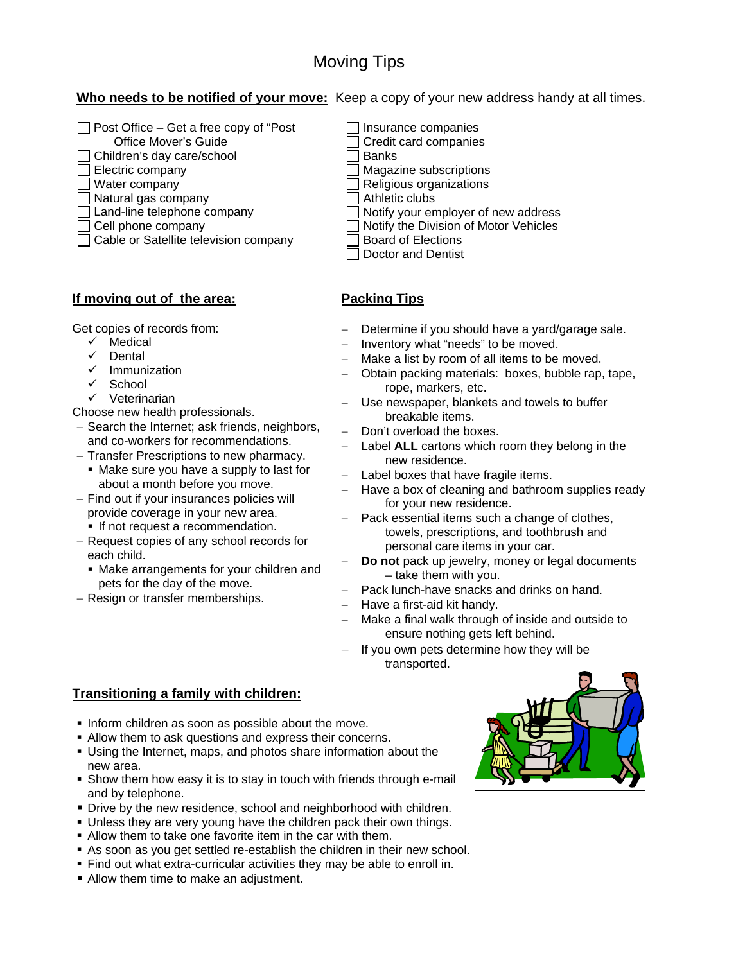# Moving Tips

Who needs to be notified of your move: Keep a copy of your new address handy at all times.

- $\Box$  Post Office Get a free copy of "Post"
	- Office Mover's Guide
- $\Box$  Children's day care/school  $\Box$  Banks
- 
- 
- ◯ Natural gas company  $\Box$  Athletic clubs<br>
◯ Land-line telephone company  $\Box$  Notify your en
	-
- 
- $\Box$  Cable or Satellite television company

## **If moving out of the area:**

Get copies of records from:

- $\checkmark$  Medical
- $\checkmark$  Dental
- $\checkmark$  Immunization
- $\checkmark$  School
- $\checkmark$  Veterinarian

Choose new health professionals.

- − Search the Internet; ask friends, neighbors, and co-workers for recommendations.
- − Transfer Prescriptions to new pharmacy.
- Make sure you have a supply to last for about a month before you move.
- − Find out if your insurances policies will provide coverage in your new area.
	- **If not request a recommendation.**
- − Request copies of any school records for each child.
	- Make arrangements for your children and pets for the day of the move.
- − Resign or transfer memberships.
- $\Box$  Insurance companies
- Credit card companies
- 
- $\Box$  Electric company  $\Box$  Magazine subscriptions
- $\Box$  Water company  $\Box$  Religious organizations
	-
	- Notify your employer of new address
- □ Cell phone company <br>□ Notify the Division of Motor Vehicles<br>□ Board of Elections
	- Doctor and Dentist

# **Packing Tips**

- − Determine if you should have a yard/garage sale.
- Inventory what "needs" to be moved.
- Make a list by room of all items to be moved.
- − Obtain packing materials: boxes, bubble rap, tape, rope, markers, etc.
- − Use newspaper, blankets and towels to buffer breakable items.
- Don't overload the boxes.
- − Label **ALL** cartons which room they belong in the new residence.
- − Label boxes that have fragile items.
- − Have a box of cleaning and bathroom supplies ready for your new residence.
	- Pack essential items such a change of clothes, towels, prescriptions, and toothbrush and personal care items in your car.
- Do not pack up jewelry, money or legal documents – take them with you.
- Pack lunch-have snacks and drinks on hand.
- − Have a first-aid kit handy.
- Make a final walk through of inside and outside to ensure nothing gets left behind.
- If you own pets determine how they will be transported.

## **Transitioning a family with children:**

- Inform children as soon as possible about the move.
- Allow them to ask questions and express their concerns.
- Using the Internet, maps, and photos share information about the new area.
- Show them how easy it is to stay in touch with friends through e-mail and by telephone.
- **Drive by the new residence, school and neighborhood with children.**
- Unless they are very young have the children pack their own things.
- Allow them to take one favorite item in the car with them.
- As soon as you get settled re-establish the children in their new school.
- Find out what extra-curricular activities they may be able to enroll in.
- **Allow them time to make an adjustment.**